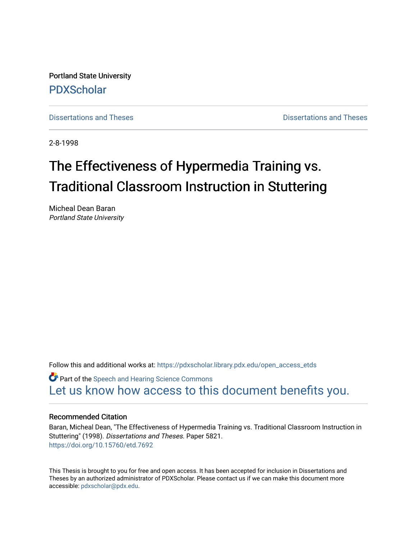Portland State University [PDXScholar](https://pdxscholar.library.pdx.edu/)

[Dissertations and Theses](https://pdxscholar.library.pdx.edu/open_access_etds) **Dissertations** and Theses **Dissertations and Theses** 

2-8-1998

# The Effectiveness of Hypermedia Training vs. Traditional Classroom Instruction in Stuttering

Micheal Dean Baran Portland State University

Follow this and additional works at: [https://pdxscholar.library.pdx.edu/open\\_access\\_etds](https://pdxscholar.library.pdx.edu/open_access_etds?utm_source=pdxscholar.library.pdx.edu%2Fopen_access_etds%2F5821&utm_medium=PDF&utm_campaign=PDFCoverPages)

Part of the [Speech and Hearing Science Commons](http://network.bepress.com/hgg/discipline/1033?utm_source=pdxscholar.library.pdx.edu%2Fopen_access_etds%2F5821&utm_medium=PDF&utm_campaign=PDFCoverPages) [Let us know how access to this document benefits you.](http://library.pdx.edu/services/pdxscholar-services/pdxscholar-feedback/) 

#### Recommended Citation

Baran, Micheal Dean, "The Effectiveness of Hypermedia Training vs. Traditional Classroom Instruction in Stuttering" (1998). Dissertations and Theses. Paper 5821. <https://doi.org/10.15760/etd.7692>

This Thesis is brought to you for free and open access. It has been accepted for inclusion in Dissertations and Theses by an authorized administrator of PDXScholar. Please contact us if we can make this document more accessible: [pdxscholar@pdx.edu.](mailto:pdxscholar@pdx.edu)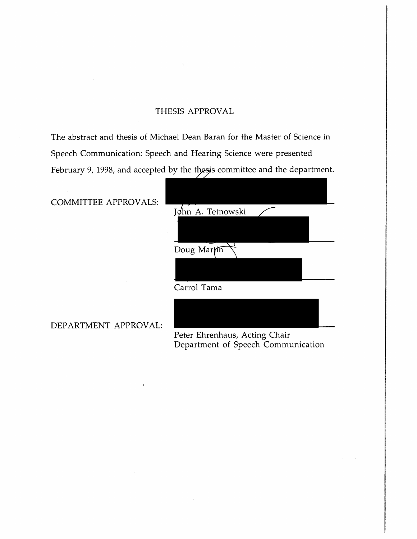### THESIS APPROVAL

The abstract and thesis of Michael Dean Baran for the Master of Science in Speech Communication: Speech and Hearing Science were presented February 9, 1998, and accepted by the thesis committee and the department.

coMMITTEE APPROVALS:

| Jøhn A. Tetnowski |  |
|-------------------|--|
|                   |  |
| Doug Martin       |  |
|                   |  |
| Carrol Tama       |  |
|                   |  |

DEPARTMENT APPROVAL:

Peter Ehrenhaus, Acting Chair Department of Speech Communication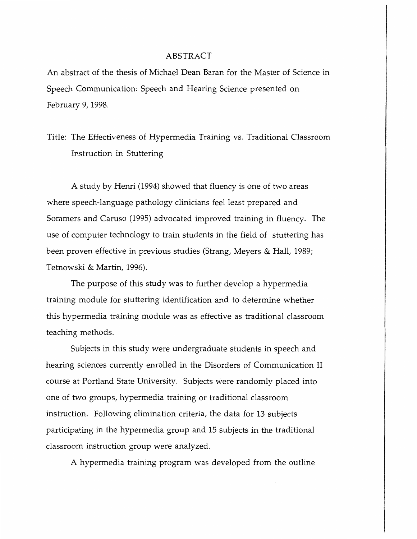### ABSTRACT

An abstract of the thesis of Michael Dean Baran for the Master of Science in Speech Communication: Speech and Hearing Science presented on February 9, 1998.

### Title: The Effectiveness of Hypermedia Training vs. Traditional Classroom Instruction in Stuttering

A study by Henri (1994) showed that fluency is one of two areas where speech-language pathology clinicians feel least prepared and Sommers and Caruso (1995) advocated improved training in fluency. The use of computer technology to train students in the field of stuttering has been proven effective in previous studies (Strang, Meyers & Hall, 1989; Tetnowski & Martin, 1996).

The purpose of this study was to further develop a hypermedia training module for stuttering identification and to determine whether this hypermedia training module was as effective as traditional classroom teaching methods.

Subjects in this study were undergraduate students in speech and hearing sciences currently enrolled in the Disorders of Communication II course at Portland State University. Subjects were randomly placed into one of two groups, hypermedia training or traditional classroom instruction. Following elimination criteria, the data for 13 subjects participating in the hypermedia group and 15 subjects in the traditional classroom instruction group were analyzed.

A hypermedia training program was developed from the outline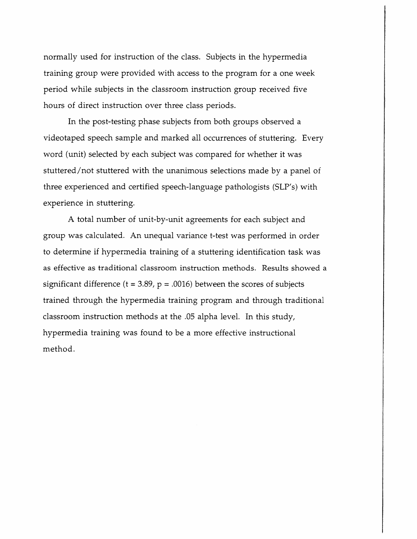normally used for instruction of the class. Subjects in the hypermedia training group were provided with access to the program for a one week period while subjects in the classroom instruction group received five hours of *direct* instruction over three class periods.

In the post-testing phase subjects from both groups observed a videotaped speech sample and marked all occurrences of stuttering. Every word (unit) selected by each subject was compared for whether it was stuttered/not stuttered with the unanimous selections made by a panel of three experienced and certified speech-language pathologists (SLP's) with experience in stuttering.

A total number of unit-by-unit agreements for each subject and group was calculated. An unequal variance t-test was performed in order to determine if hypermedia training of a stuttering identification task was as effective as traditional classroom instruction methods. Results showed a significant difference ( $t = 3.89$ ,  $p = .0016$ ) between the scores of subjects trained through the hypermedia training program and through traditional classroom instruction methods at the .05 alpha level. In this study, hypermedia training was found to be a more effective instructional method.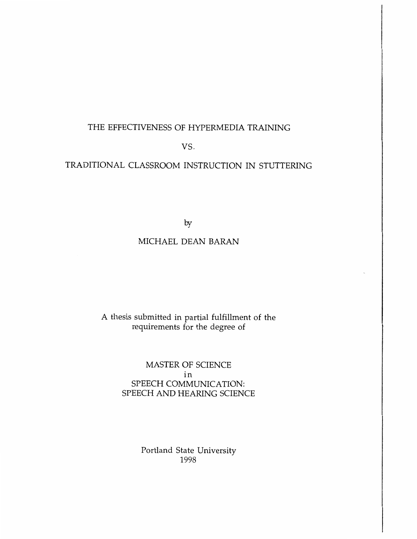### THE EFFECTIVENESS OF HYPERMEDIA TRAINING

vs.

### TRADITIONAL CLASSROOM INSTRUCTION IN STUTTERING

by

### MICHAEL DEAN BARAN

### A thesis submitted in partial fulfillment of the requirements for the degree of

MASTER OF SCIENCE in SPEECH COMMUNICATION: SPEECH AND HEARING SCIENCE

> Portland State University 1998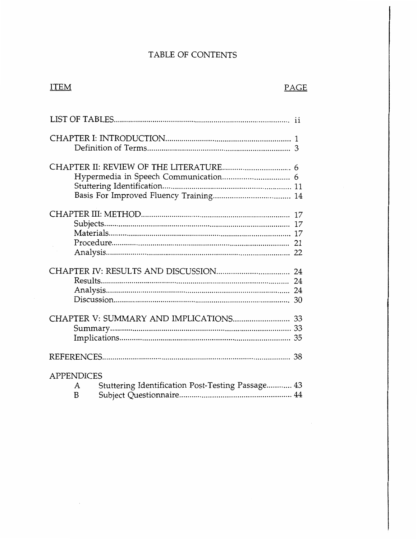### TABLE OF CONTENTS

### ITEM

 $TCTOTFAD$ 

 $\lambda$ 

### PAGE

| Hypermedia in Speech Communication 6                                             |          |
|----------------------------------------------------------------------------------|----------|
|                                                                                  | 17<br>17 |
|                                                                                  | 24<br>30 |
|                                                                                  | 35       |
|                                                                                  |          |
| <b>APPENDICES</b><br>Stuttering Identification Post-Testing Passage 43<br>A<br>B |          |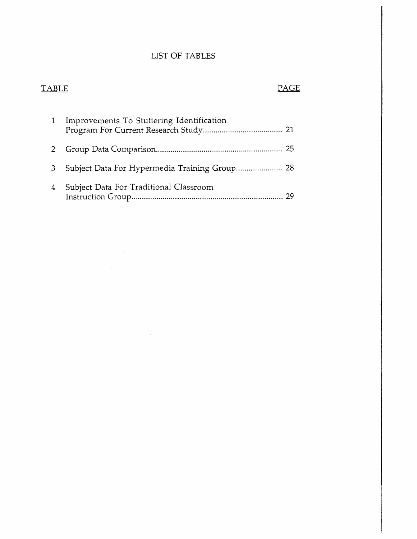### LIST OF TABLES

### TABLE PAGE

|   | Improvements To Stuttering Identification |
|---|-------------------------------------------|
|   |                                           |
| 3 |                                           |
| 4 | Subject Data For Traditional Classroom    |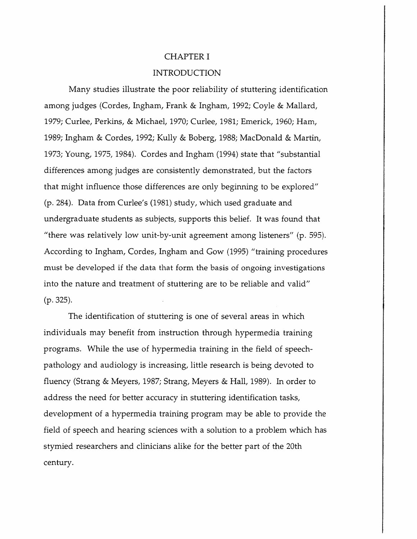### CHAPTER I

### INTRODUCTION

Many studies illustrate the poor reliability of stuttering identification among judges (Cordes, Ingham, Frank & Ingham, 1992; Coyle & Mallard, 1979; Curlee, Perkins, & Michael, 1970; Curlee, 1981; Emerick, 1960; Ham, 1989; Ingham & Cordes, 1992; Kully & Boberg, 1988; MacDonald & Martin, 1973; Young, 1975, 1984). Cordes and Ingham (1994) state that "substantial differences among judges are consistently demonstrated, but the factors that might influence those differences are only beginning to be explored" (p. 284). Data from Curlee's (1981) study, which used graduate and undergraduate students as subjects, supports this belief. It was found that "there was relatively low unit-by-unit agreement among listeners" (p. 595). According *to* Ingham, Cordes, Ingham and Gow (1995) "training procedures must be developed if the data that form the basis of ongoing investigations into the nature and treatment of stuttering are *to* be reliable and valid" (p. 325).

The identification of stuttering is one of several areas in which individuals may benefit from instruction through hypermedia training programs. While the use of hypermedia training in the field of speechpathology and audiology is increasing, little research is being devoted to fluency (Strang & Meyers, 1987; Strang, Meyers & Hall, 1989). In order *to*  address the need for better accuracy in stuttering identification tasks, development of a hypermedia training program may be able to provide the field of speech and hearing sciences with a solution *to* a problem which has stymied researchers and clinicians alike for the better part of the 20th century.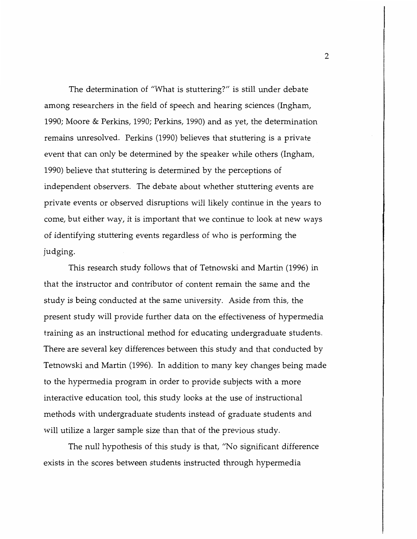The determination of "What is stuttering?" is still under debate among researchers in the field of speech and hearing sciences (Ingham, 1990; Moore & Perkins, 1990; Perkins, 1990) and as yet, the determination remains unresolved. Perkins (1990) believes that stuttering is a private event that can only be determined by the speaker while others (Ingham, 1990) believe that stuttering is determined by the perceptions of independent observers. The debate about whether stuttering events are private events or observed disruptions will likely continue in the years to come, but either way, it is important that we continue to look at new ways of identifying stuttering events regardless of who is performing the judging.

This research study follows that of Tetnowski and Martin (1996) in that the instructor and contributor of content remain the same and the study is being conducted at the same university. Aside from this, the present study will provide further data on the effectiveness of hypermedia training as an instructional method for educating undergraduate students. There are several key differences between this study and that conducted by Tetnowski and Martin (1996). In addition to many key changes being made to the hypermedia program in order to provide subjects with a more interactive education tool, this study looks at the use of instructional methods with undergraduate students instead of graduate students and will utilize a larger sample size than that of the previous study.

The null hypothesis of this study is that, "No significant difference exists in the scores between students instructed through hypermedia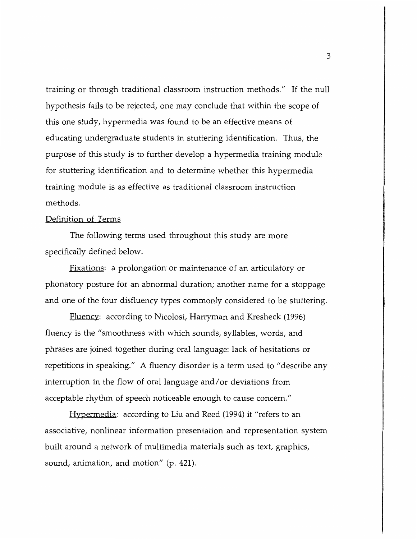training or through traditional classroom instruction methods." If the null hypothesis fails to be rejected, one may conclude that within the scope of this one study, hypermedia was found to be an effective means of educating undergraduate students in stuttering identification. Thus, the purpose of this study is to further develop a hypermedia training module for stuttering identification and to determine whether this hypermedia training module is as effective as traditional classroom instruction methods.

### Definition of Terms

The following terms used throughout this study are more specifically defined below.

Fixations: a prolongation or maintenance of an articulatory or phonatory posture for an abnormal duration; another name for a stoppage and one of the four disfluency types commonly considered to be stuttering.

Fluency: according to Nicolosi, Harryman and Kresheck (1996) fluency is the "smoothness with which sounds, syllables, words, and phrases are joined together during oral language: lack of hesitations or repetitions in speaking." A fluency disorder is a term used to "describe any interruption in the flow of oral language and/ or deviations from acceptable rhythm of speech noticeable enough to cause concern."

Hypermedia: according to Liu and Reed (1994) it "refers to an associative, nonlinear information presentation and representation system built around a network of multimedia materials such as text, graphics, sound, animation, and motion" (p. 421).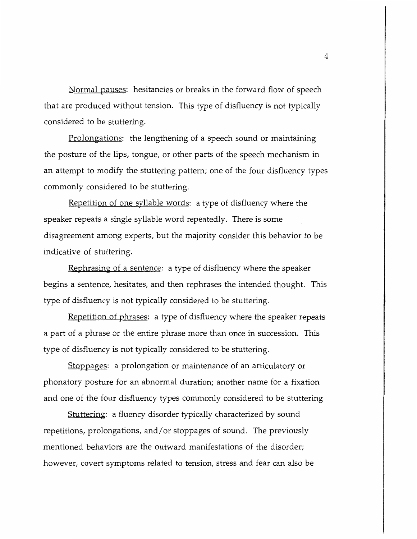Normal pauses: hesitancies or breaks in the forward flow of speech that are produced without tension. This type of disfluency is not typically considered to be stuttering.

Prolongations: the lengthening of a speech sound or maintaining the posture of the lips, tongue, or other parts of the speech mechanism in an attempt to modify the stuttering pattern; one of the four disfluency types commonly considered to be stuttering.

Repetition of one syllable words: a type of disfluency where the speaker repeats a single syllable word repeatedly. There is some disagreement among experts, but the majority consider this behavior to be indicative of stuttering.

Rephrasing of a sentence: a type of disfluency where the speaker begins a sentence, hesitates, and then rephrases the intended thought. This type of disfluency is not typically considered to be stuttering.

Repetition of phrases: a type of disfluency where the speaker repeats a part of a phrase or the entire phrase more than once in succession. This type of disfluency is not typically considered to be stuttering.

Stoppages: a prolongation or maintenance of an articulatory or phonatory posture for an abnormal duration; another name for a fixation and one of the four disfluency types commonly considered to be stuttering

Stuttering: a fluency disorder typically characterized by sound repetitions, prolongations, and/ or stoppages of sound. The previously mentioned behaviors are the outward manifestations of the disorder; however, covert symptoms related to tension, stress and fear can also be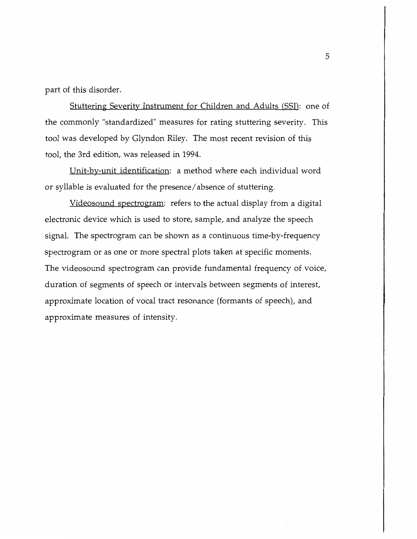part of this disorder.

Stuttering Severity Instrument for Children and Adults (SSI): one of the commonly "standardized" measures for rating stuttering severity. This tool was developed by Glyndon Riley. The most recent revision of this tool, the 3rd edition, was released in 1994.

Unit-by-unit identification: a method where each individual word or syllable is evaluated for the presence/ absence of stuttering.

Videosound spectrogram: refers to the actual display from a digital electronic device which is used to store, sample, and analyze the speech signal. The spectrogram can be shown as a continuous time-by-frequency spectrogram or as one or more spectral plots taken at specific moments. The videosound spectrogram can provide fundamental frequency of voice, duration of segments of speech or intervals between segments of interest, approximate location of vocal tract resonance (formants of speech), and approximate measures of intensity.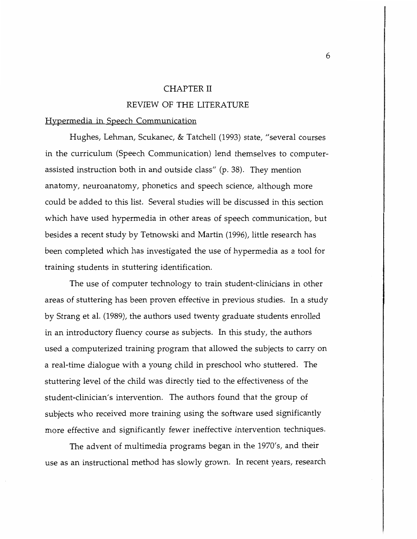#### CHAPTER II

### REVIEW OF THE LITERATURE

#### Hypermedia in Speech Communication

Hughes, Lehman, Scukanec, & Tatchell (1993) state, "several courses in the curriculum (Speech Communication) lend themselves to computerassisted instruction both in and outside class" (p. 38). They mention anatomy, neuroanatomy, phonetics and speech science, although more could be added to this list. Several studies will be discussed in this section which have used hypermedia in other areas of speech communication, but besides a recent study by Tetnowski and Martin (1996), little research has been completed which has investigated the use of hypermedia as a tool for training students in stuttering identification.

The use of computer technology to train student-clinicians in other areas of stuttering has been proven effective in previous studies. In a study by Strang et al. (1989), the authors used twenty graduate students enrolled in an introductory fluency course as subjects. In this study, the authors used a computerized training program that allowed the subjects to carry on a real-time dialogue with a young child in preschool who stuttered. The stuttering level of the child was directly tied to the effectiveness of the student-clinician's intervention. The authors found that the group of subjects who received more training using the software used significantly more effective and significantly fewer ineffective intervention techniques.

The advent of multimedia programs began in the 1970's, and their use as an instructional method has slowly grown. In recent years, research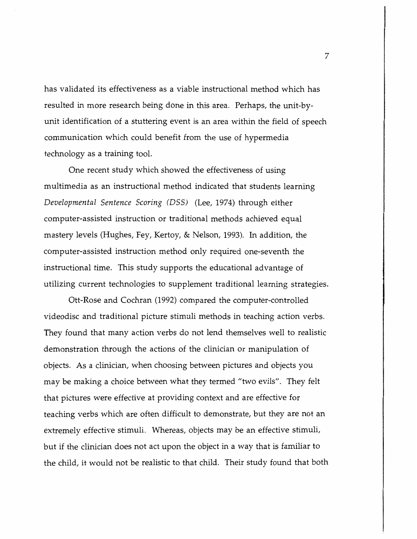has validated its effectiveness as a viable instructional method which has resulted in more research being done in this area. Perhaps, the unit-byunit identification of a stuttering event is an area within the field of speech communication which could benefit from the use of hypermedia technology as a training tool.

One recent study which showed the effectiveness of using multimedia as an instructional method indicated that students learning *Developmental Sentence Scoring (DSS)* (Lee, 1974) through either computer-assisted instruction or traditional methods achieved equal mastery levels (Hughes, Fey, Kertoy, & Nelson, 1993). In addition, the computer-assisted instruction method only required one-seventh the instructional time. This study supports the educational advantage of utilizing current technologies to supplement traditional learning strategies.

Ott-Rose and Cochran (1992) compared the computer-controlled videodisc and traditional picture stimuli methods in teaching action verbs. They found that many action verbs do not lend themselves well to realistic demonstration through the actions of the clinician or manipulation of objects. As a clinician, when choosing between pictures and objects you may be making a choice between what they termed "two evils". They felt that pictures were effective at providing context and are effective for teaching verbs which are often difficult to demonstrate, but they are not an extremely effective stimuli. Whereas, objects may be an effective stimuli, but if the clinician does not act upon the object in a way that is familiar to the child, it would not be realistic to that child. Their study found that both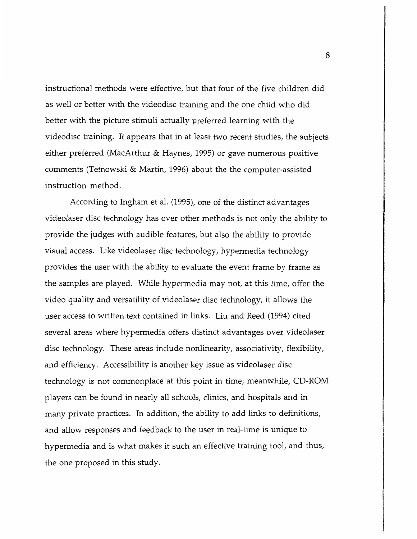instructional methods were effective, but that four of the five children did as well or better with the videodisc training and the one child who did better with the picture stimuli actually preferred learning with the videodisc training. It appears that in at least two recent studies, the subjects either preferred (MacArthur & Haynes, 1995) or gave numerous positive comments (Tetnowski & Martin, 1996) about the the computer-assisted instruction method.

According to Ingham et al. (1995), one of the distinct advantages videolaser disc technology has over other methods is not only the ability to provide the judges with audible features, but also the ability to provide visual access. Like videolaser disc technology, hypermedia technology provides the user with the ability to evaluate the event frame by frame as the samples are played. While hypermedia may not, at this time, offer the video quality and versatility of videolaser disc technology, it allows the user access to written text contained in links. Liu and Reed (1994) cited several areas where hypermedia offers distinct advantages over videolaser disc technology. These areas include nonlinearity, associativity, flexibility, and efficiency. Accessibility is another key issue as videolaser disc technology is not commonplace at this point in time; meanwhile, CD-ROM players can be found in nearly all schools, clinics, and hospitals and in many private practices. In addition, the ability to add links to definitions, and allow responses and feedback to the user in real-time is unique to hypermedia and is what makes it such an effective training tool, and thus, the one proposed in this study.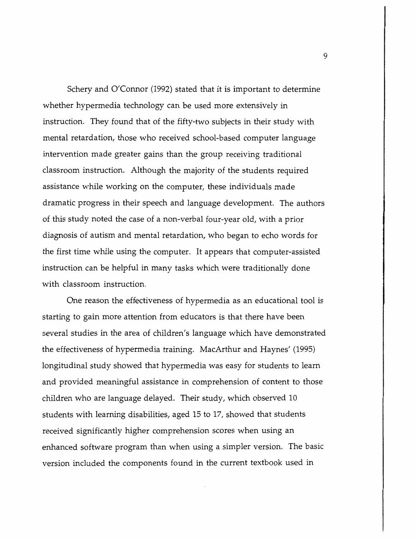Schery and O'Connor (1992) stated that it is important to determine whether hypermedia technology can be used more extensively in instruction. They found that of the fifty-two subjects in their study with mental retardation, those who received school-based computer language intervention made greater gains than the group receiving traditional classroom instruction. Although the majority of the students required assistance while working on the computer, these individuals made dramatic progress in their speech and language development. The authors of this study noted the case of a non-verbal four-year old, with a prior diagnosis of autism and mental retardation, who began to echo words for the first time while using the computer. It appears that computer-assisted instruction can be helpful in many tasks which were traditionally done with classroom instruction.

One reason the effectiveness of hypermedia as an educational tool is starting to gain more attention from educators is that there have been several studies in the area of children's language which have demonstrated the effectiveness of hypermedia training. MacArthur and Haynes' (1995) longitudinal study showed that hypermedia was easy for students to learn and provided meaningful assistance in comprehension of content to those children who are language delayed. Their study, which observed 10 students with learning disabilities, aged 15 to 17, showed that students received significantly higher comprehension scores when using an enhanced software program than when using a simpler version. The basic version included the components found in the current textbook used in

9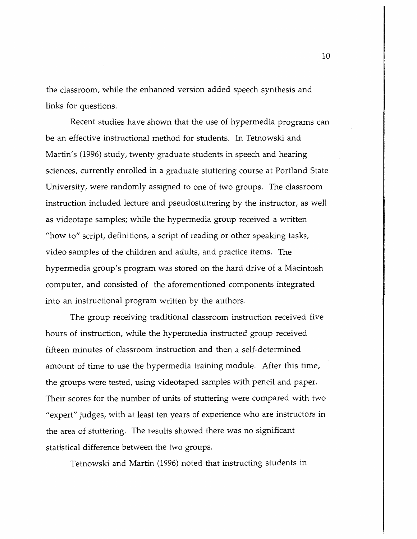the classroom, while the enhanced version added speech synthesis and links for questions.

Recent studies have shown that the use of hypermedia programs can be an effective instructional method for students. In Tetnowski and Martin's (1996) study, twenty graduate students in speech and hearing sciences, currently enrolled in a graduate stuttering course at Portland State University, were randomly assigned to one of two groups. The classroom instruction included lecture and pseudostuttering by the instructor, as well as videotape samples; while the hypermedia group received a written "how to" script, definitions, a script of reading or other speaking tasks, video samples of the children and adults, and practice items. The hypermedia group's program was stored on the hard drive of a Macintosh computer, and consisted of the aforementioned components integrated into an instructional program written by the authors.

The group receiving traditional classroom instruction received five hours of instruction, while the hypermedia instructed group received fifteen minutes of classroom instruction and then a self-determined amount of time to use the hypermedia training module. After this time, the groups were tested, using videotaped samples with pencil and paper. Their scores for the number of units of stuttering were compared with two "expert" judges, with at least ten years of experience who are instructors in the area of stuttering. The results showed there was no significant statistical difference between the two groups.

Tetnowski and Martin (1996) noted that instructing students in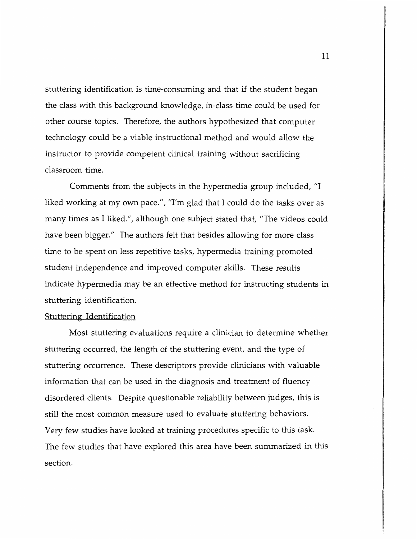stuttering identification is time-consuming and that if the student began the class with this background knowledge, in-class time could be used for other course topics. Therefore, the authors hypothesized that computer technology could be a viable instructional method and would allow the instructor to provide competent clinical training without sacrificing classroom time.

Comments from the subjects in the hypermedia group included, "I liked working at my own pace.", "I'm glad that I could do the tasks over as many times as I liked.", although one subject stated that, "The videos could have been bigger." The authors felt that besides allowing for more class time to be spent on less repetitive tasks, hypermedia training promoted student independence and improved computer skills. These results indicate hypermedia may be an effective method for instructing students in stuttering identification.

#### Stuttering Identification

Most stuttering evaluations require a clinician to determine whether stuttering occurred, the length of the stuttering event, and the type of stuttering occurrence. These descriptors provide clinicians with valuable information that can be used in the diagnosis and treatment of fluency disordered clients. Despite questionable reliability between judges, this is still the most common measure used to evaluate stuttering behaviors. Very few studies have looked at training procedures specific to this task. The few studies that have explored this area have been summarized in this section.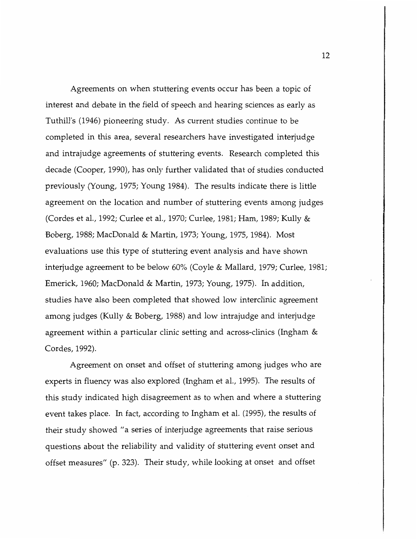Agreements on when stuttering events occur has been a topic of interest and debate in the field of speech and hearing sciences as early as Tuthill's (1946) pioneering study. As current studies continue to be completed in this area, several researchers have investigated interjudge and intrajudge agreements of stuttering events. Research completed this decade (Cooper, 1990), has only further validated that of studies conducted previously (Young, 1975; Young 1984). The results indicate there is little agreement on the location and number of stuttering events among judges (Cordes et al., 1992; Curlee et al., 1970; Curlee, 1981; Ham, 1989; Kully & Boberg, 1988; MacDonald & Martin, 1973; Young, 1975, 1984). Most evaluations use this type of stuttering event analysis and have shown interjudge agreement to be below 60% (Coyle & Mallard, 1979; Curlee, 1981; Emerick, 1960; MacDonald & Martin, 1973; Young, 1975). In addition, studies have also been completed that showed low interclinic agreement among judges (Kully & Boberg, 1988) and low intrajudge and interjudge agreement within a particular clinic setting and across-clinics (Ingham & Cordes, 1992).

Agreement on onset and offset of stuttering among judges who are experts in fluency was also explored (Ingham et al., 1995). The results of this study indicated high disagreement as to when and where a stuttering event takes place. In fact, according to Ingham et al. (1995), the results of their study showed "a series of interjudge agreements that raise serious questions about the reliability and validity of stuttering event onset and offset measures" (p. 323). Their study, while looking at onset and offset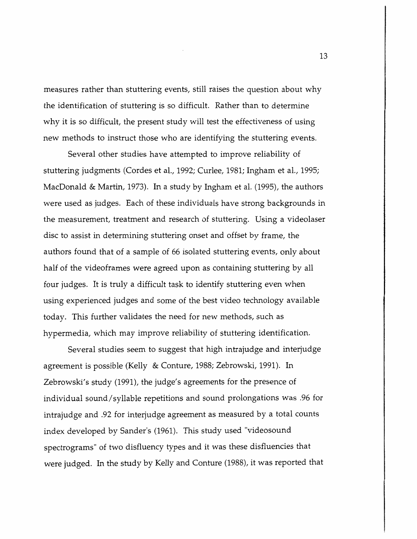measures rather than stuttering events, still raises the question about why the identification of stuttering is so difficult. Rather than to determine why it is so difficult, the present study will test the effectiveness of using new methods to instruct those who are identifying the stuttering events.

Several other studies have attempted to improve reliability of stuttering judgments (Cordes et al., 1992; Curlee, 1981; Ingham et al., 1995; MacDonald & Martin, 1973). In a study by Ingham et al. (1995), the authors were used as judges. Each of these individuals have strong backgrounds in the measurement, treatment and research of stuttering. Using a videolaser disc to assist in determining stuttering onset and offset by frame, the authors found that of a sample of 66 isolated stuttering events, only about half of the videoframes were agreed upon as containing stuttering by all four judges. It is truly a difficult task to identify stuttering even when using experienced judges and some of the best video technology available today. This further validates the need for new methods, such as hypermedia, which may improve reliability of stuttering identification.

Several studies seem to suggest that high intrajudge and interjudge agreement is possible (Kelly & Conture, 1988; Zebrowski, 1991). In Zebrowski's study (1991), the judge's agreements for the presence of individual sound/syllable repetitions and sound prolongations was .96 for intrajudge and .92 for interjudge agreement as measured by a total counts index developed by Sander's (1961). This study used "videosound spectrograms" of two disfluency types and it was these disfluencies that were judged. In the study by Kelly and Conture (1988), it was reported that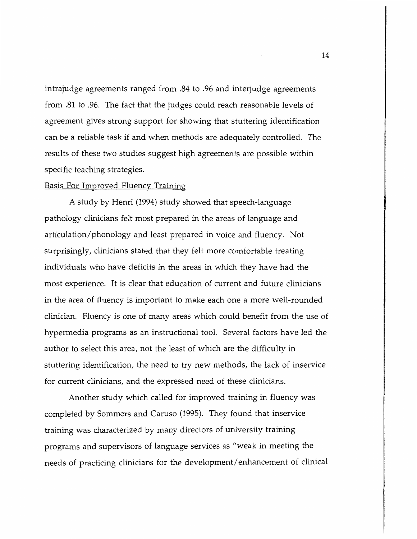intrajudge agreements ranged from .84 to .96 and interjudge agreements from .81 to .96. The fact that the judges could reach reasonable levels of agreement gives strong support for showing that stuttering identification can be a reliable task if and when methods are adequately controlled. The results of these two studies suggest high agreements are possible within specific teaching strategies.

#### Basis For Improved Fluency Training

A study by Henri (1994) study showed that speech-language pathology clinicians felt most prepared in the areas of language and articulation/phonology and least prepared in voice and fluency. Not surprisingly, clinicians stated that they felt more comfortable treating individuals who have deficits in the areas in which they have had the most experience. It is clear that education of current and future clinicians in the area of fluency is important to make each one a more well-rounded clinician. Fluency is one of many areas which could benefit from the use of hypermedia programs as an instructional tool. Several factors have led the author to select this area, not the least of which are the difficulty in stuttering identification, the need to try new methods, the lack of inservice for current clinicians, and the expressed need of these clinicians.

Another study which called for improved training in fluency was completed by Sommers and Caruso (1995). They found that inservice training was characterized by many directors of university training programs and supervisors of language services as "weak in meeting the needs of practicing clinicians for the development/ enhancement of clinical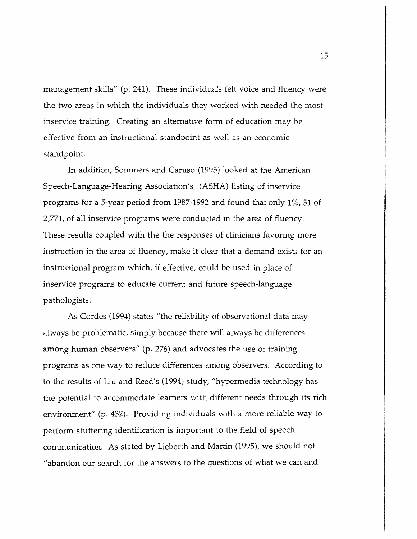management skills" (p. 241). These individuals felt voice and fluency were the two areas in which the individuals they worked with needed the most inservice training. Creating an alternative form of education may be effective from an instructional standpoint as well as an economic standpoint.

In addition, Sommers and Caruso (1995) looked at the American Speech-Language-Hearing Association's (ASHA) listing of inservice programs for a 5-year period from 1987-1992 and found that only 1 %, 31 of 2,771, of all inservice programs were conducted in the area of fluency. These results coupled with the the responses of clinicians favoring more instruction in the area of fluency, make it clear that a demand exists for an instructional program which, if effective, could be used in place of inservice programs to educate current and future speech-language pathologists.

As Cordes (1994) states "the reliability of observational data may always be problematic, simply because there will always be differences among human observers" (p. 276) and advocates the use of training programs as one way to reduce differences among observers. According to to the results of Liu and Reed's (1994) study, "hypermedia technology has the potential to accommodate learners with different needs through its rich environment" (p. 432). Providing individuals with a more reliable way to perform stuttering identification is important to the field of speech communication. As stated by Lieberth and Martin (1995), we should not "abandon our search for the answers to the questions of what we can and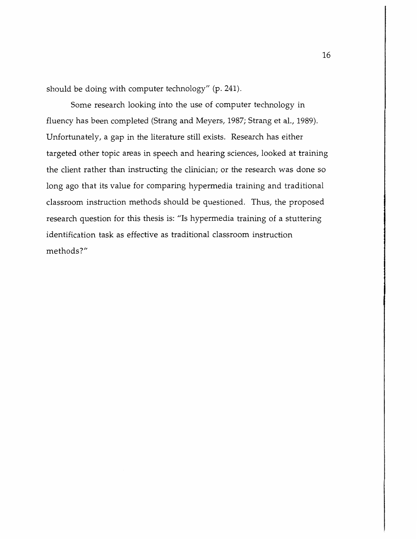should be doing with computer technology" (p. 241).

Some research looking into the use of computer technology in fluency has been completed (Strang and Meyers, 1987; Strang et al., 1989). Unfortunately, a gap in the literature still exists. Research has either targeted other topic areas in speech and hearing sciences, looked at training the client rather than instructing the clinician; or the research was done so long ago that its value for comparing hypermedia training and traditional classroom instruction methods should be questioned. Thus, the proposed research question for this thesis is: "Is hypermedia training of a stuttering identification task as effective as traditional classroom instruction methods?"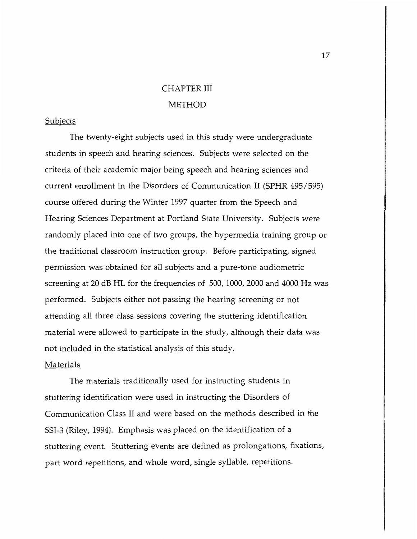### CHAPTER III METHOD

#### Subjects

The twenty-eight subjects used in this study were undergraduate students in speech and hearing sciences. Subjects were selected on the criteria of their academic major being speech and hearing sciences and current enrollment in the Disorders of Communication II (SPHR 495 / 595) course offered during the Winter 1997 quarter from the Speech and Hearing Sciences Department at Portland State University. Subjects were randomly placed into one of two groups, the hypermedia training group or the traditional classroom instruction group. Before participating, signed permission was obtained for all subjects and a pure-tone audiometric screening at 20 dB HL for the frequencies of 500, 1000, 2000 and 4000 Hz was performed. Subjects either not passing the hearing screening or not attending all three class sessions covering the stuttering identification material were allowed to participate in the study, although their data was not included in the statistical analysis of this study.

### Materials

The materials traditionally used for instructing students in stuttering identification were used in instructing the Disorders of Communication Class II and were based on the methods described in the SSI-3 (Riley, 1994). Emphasis was placed on the identification of a stuttering event. Stuttering events are defined as prolongations, fixations, part word repetitions, and whole word, single syllable, repetitions.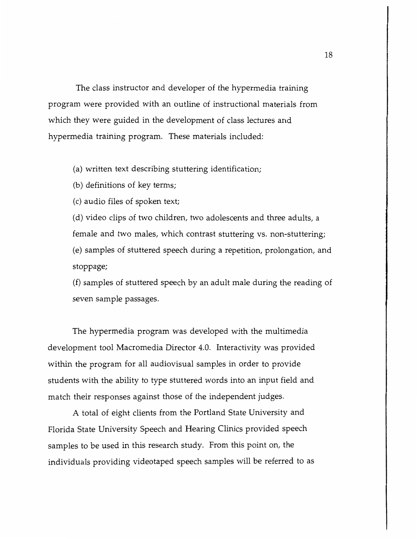The class instructor and developer of the hypermedia training program were provided with an outline of instructional materials from which they were guided in the development of class lectures and hypermedia training program. These materials included:

(a) written text describing stuttering identification;

(b) definitions of key terms;

(c) audio files of spoken text;

( d) video clips of two children, two adolescents and three adults, a female and two males, which contrast stuttering vs. non-stuttering; (e) samples of stuttered speech during a repetition, prolongation, and stoppage;

(f) samples of stuttered speech by an adult male during the reading of seven sample passages.

The hypermedia program was developed with the multimedia development tool Macromedia Director 4.0. Interactivity was provided within the program for all audiovisual samples in order to provide students with the ability to type stuttered words into an input field and match their responses against those of the independent judges.

A total of eight clients from the Portland State University and Florida State University Speech and Hearing Clinics provided speech samples to be used in this research study. From this point on, the individuals providing videotaped speech samples will be referred to as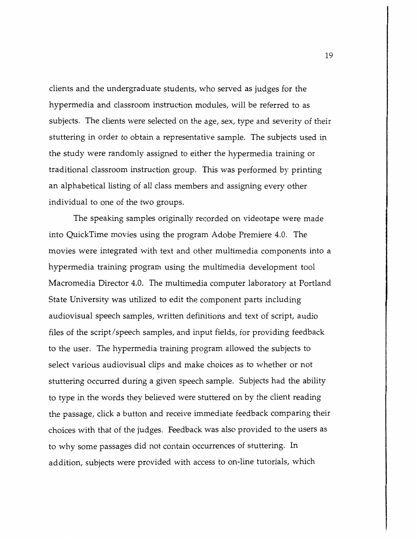clients and the undergraduate students, who served as judges for the hypermedia and classroom instruction modules, will be referred to as subjects. The clients were selected on the age, sex, type and severity of their stuttering in order to obtain a representative sample. The subjects used in the study were randomly assigned to either the hypermedia training or traditional classroom instruction group. This was performed by printing an alphabetical listing of all class members and assigning every other individual to one of the two groups.

The speaking samples originally recorded on videotape were made into QuickTime movies using the program Adobe Premiere 4.0. The movies were integrated with text and other multimedia components into a hypermedia training program using the multimedia development tool Macromedia Director 4.0. The multimedia computer laboratory at Portland State University was utilized to edit the component parts including audiovisual speech samples, written definitions and text of script, audio files of the script/ speech samples, and input fields, for providing feedback to the user. The hypermedia training program allowed the subjects to select various audiovisual clips and make choices as to whether or not stuttering occurred during a given speech sample. Subjects had the ability to type in the words they believed were stuttered on by the client reading the passage, click a button and receive immediate feedback comparing their choices with that of the judges. Feedback was also provided to the users as to why some passages did not contain occurrences of stuttering. In addition, subjects were provided with access to on-line tutorials, which

19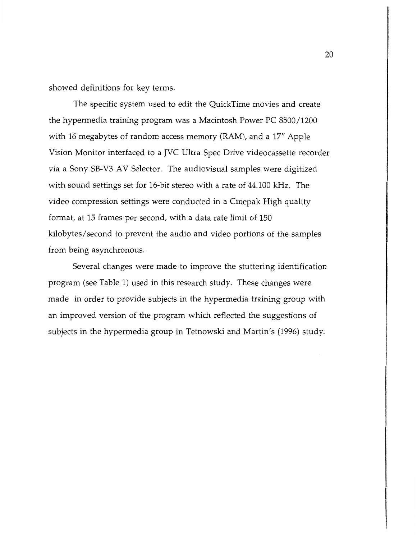showed definitions for key terms.

The specific system used to edit the QuickTime movies and create the hypermedia training program was a Macintosh Power PC 8500 / 1200 with 16 megabytes of random access memory (RAM), and a 17" Apple Vision Monitor interfaced to a JVC Ultra Spec Drive videocassette recorder via a Sony SB-V3 AV Selector. The audiovisual samples were digitized with sound settings set for 16-bit stereo with a rate of 44.100 kHz. The video compression settings were conducted in a Cinepak High quality format, at 15 frames per second, with a data rate limit of 150 kilobytes/ second to prevent the audio and video portions of the samples from being asynchronous.

Several changes were made to improve the stuttering identification program (see Table 1) used in this research study. These changes were made in order to provide subjects in the hypermedia training group with an improved version of the program which reflected the suggestions of subjects in the hypermedia group in Tetnowski and Martin's (1996) study.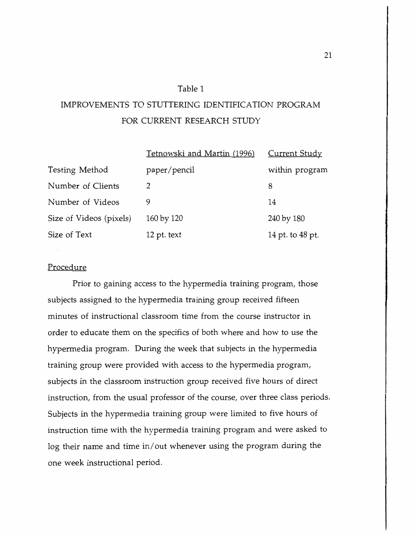### Table 1

### IMPROVEMENTS TO STUTTERING IDENTIFICATION PROGRAM FOR CURRENT RESEARCH STUDY

|                         | Tetnowski and Martin (1996) | Current Study    |
|-------------------------|-----------------------------|------------------|
| Testing Method          | paper/pencil                | within program   |
| Number of Clients       | 2                           | 8                |
| Number of Videos        | 9                           | 14               |
| Size of Videos (pixels) | 160 by 120                  | 240 by 180       |
| Size of Text            | 12 pt. text                 | 14 pt. to 48 pt. |

### Procedure

Prior to gaining access *to* the hypermedia training program, those subjects assigned to the hypermedia training group received fifteen minutes of instructional classroom time from the course instructor in order *to* educate them on the specifics of both where and how *to* use the hypermedia program. During the week that subjects in the hypermedia training group were provided with access to the hypermedia program, subjects in the classroom instruction group received five hours of direct instruction, from the usual professor of the course, over three class periods. Subjects in the hypermedia training group were limited to five hours of instruction time with the hypermedia training program and were asked *to*  log their name and time in/ out whenever using the program during the one week instructional period.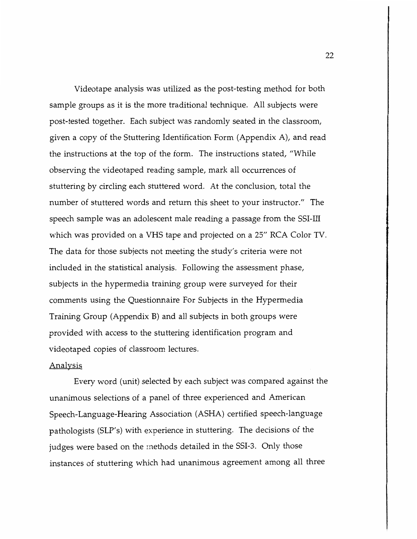Videotape analysis was utilized as the post-testing method for both sample groups as it is the more traditional technique. All subjects were post-tested together. Each subject was randomly seated in the classroom, given a copy of the Stuttering Identification Form (Appendix A), and read the instructions at the top of the form. The instructions stated, "While observing the videotaped reading sample, mark all occurrences of stuttering by circling each stuttered word. At the conclusion, total the number of stuttered words and return this sheet to your instructor." The speech sample was an adolescent male reading a passage from the SSI-III which was provided on a VHS tape and projected on a 25" RCA Color TV. The data for those subjects not meeting the study's criteria were not included in the statistical analysis. Following the assessment phase, subjects in the hypermedia training group were surveyed for their comments using the Questionnaire For Subjects in the Hypermedia Training Group (Appendix B) and all subjects in both groups were provided with access to the stuttering identification program and videotaped copies of classroom lectures.

### Analysis

Every word (unit) selected by each subject was compared against the unanimous selections of a panel of three experienced and American Speech-Language-Hearing Association (ASHA) certified speech-language pathologists (SLP's) with experience in stuttering. The decisions of the judges were based on the methods detailed in the SSI-3. Only those instances of stuttering which had unanimous agreement among all three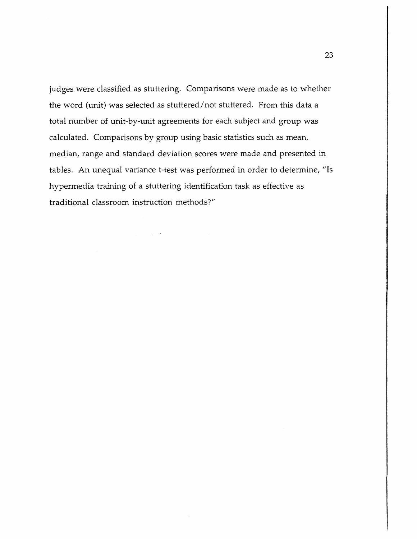judges were classified as stuttering. Comparisons were made as to whether the word (unit) was selected as stuttered/not stuttered. From this data a total number of unit-by-unit agreements for each subject and group was calculated. Comparisons by group using basic statistics such as mean, median, range and standard deviation scores were made and presented in tables. An unequal variance t-test was performed in order to determine, "Is hypermedia training of a stuttering identification task as effective as traditional classroom instruction methods?"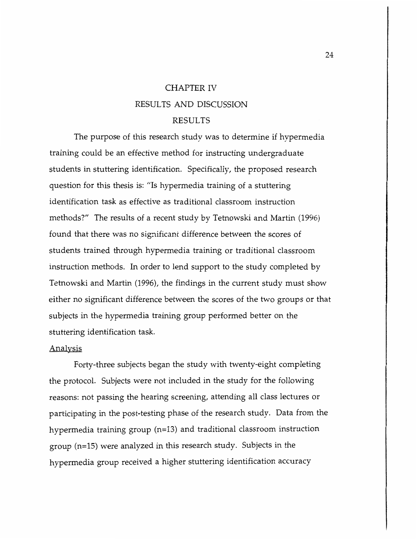### CHAPTER IV RESULTS AND DISCUSSION RESULTS

The purpose of this research study was to determine if hypermedia training could be an effective method for instructing undergraduate students in stuttering identification. Specifically, the proposed research question for this thesis is: "Is hypermedia training of a stuttering identification task as effective as traditional classroom instruction methods?" The results of a recent study by Tetnowski and Martin (1996) found that there was no significant difference between the scores of students trained through hypermedia training or traditional classroom instruction methods. In order to lend support to the study completed by Tetnowski and Martin (1996), the findings in the current study must show either no significant difference between the scores of the two groups or that subjects in the hypermedia training group performed better on the stuttering identification task.

#### Analysis

Forty-three subjects began the study with twenty-eight completing the protocol. Subjects were not included in the study for the following reasons: not passing the hearing screening, attending all class lectures or participating in the post-testing phase of the research study. Data from the hypermedia training group (n=13) and traditional classroom instruction group (n=15) were analyzed in this research study. Subjects in the hypermedia group received a higher stuttering identification accuracy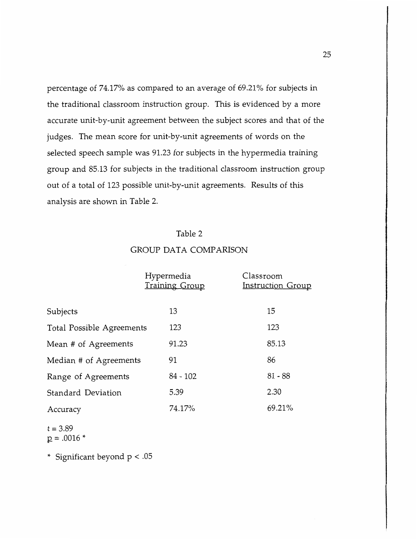percentage of 74.17% as compared to an average of 69.21% for subjects in the traditional classroom instruction group. This is evidenced by a more accurate unit-by-unit agreement between the subject scores and that of the judges. The mean score for unit-by-unit agreements of words on the selected speech sample was 91.23 for subjects in the hypermedia training group and 85.13 for subjects in the traditional classroom instruction group out of a total of 123 possible unit-by-unit agreements. Results of this analysis are shown in Table 2.

### Table 2

# Hypermedia Classroom Training Group **Instruction Group** Subjects 13 15 Total Possible Agreements 123 123 Mean # of Agreements 91.23 85.13 Median # of Agreements 91 91 Range of Agreements 84 - 102 81 - 88 Standard Deviation 5.39 2.30 Accuracy 74.17% 69.21%

GROUP DATA COMPARISON

t = 3.89  $p = .0016 *$ 

\* Significant beyond p < .05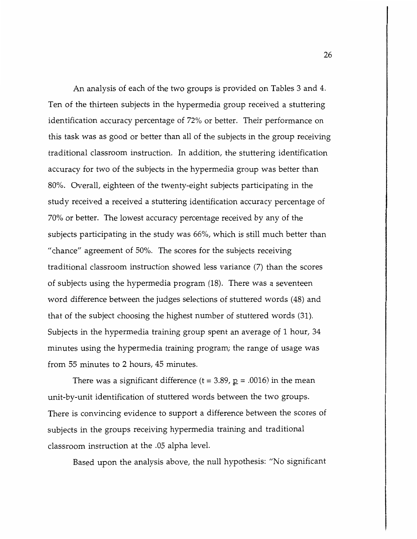An analysis of each of the two groups is provided on Tables 3 and 4. Ten of the thirteen subjects in the hypermedia group received a stuttering identification accuracy percentage of 72% or better. Their performance on this task was as good or better than all of the subjects in the group receiving traditional classroom instruction. In addition, the stuttering identification accuracy for two of the subjects in the hypermedia group was better than 80%. Overall, eighteen of the twenty-eight subjects participating in the study received a received a stuttering identification accuracy percentage of 70% or better. The lowest accuracy percentage received by any of the subjects participating in the study was 66%, which is still much better than "chance" agreement of 50%. The scores for the subjects receiving traditional classroom instruction showed less variance (7) than the scores of subjects using the hypermedia program (18). There was a seventeen word difference between the judges selections of stuttered words (48) and that of the subject choosing the highest number of stuttered words (31). Subjects in the hypermedia training group spent an average of 1 hour, 34 minutes using the hypermedia training program; the range of usage was from 55 minutes to 2 hours, 45 minutes.

There was a significant difference (t =  $3.89$ ,  $p = .0016$ ) in the mean unit-by-unit identification of stuttered words between the two groups. There is convincing evidence to support a difference between the scores of subjects in the groups receiving hypermedia training and traditional classroom instruction at the .05 alpha level.

Based upon the analysis above, the null hypothesis: "No significant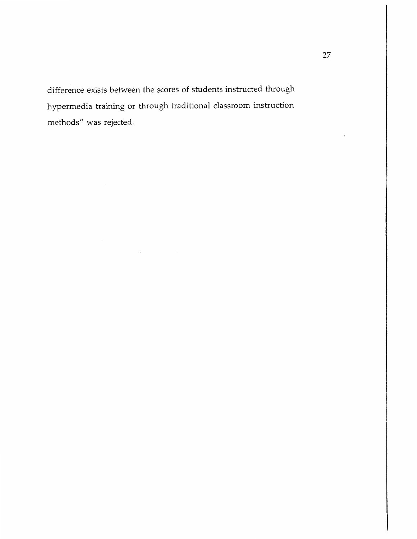difference exists between the scores of students instructed through hypermedia training or through traditional classroom instruction methods" was rejected.

 $\epsilon$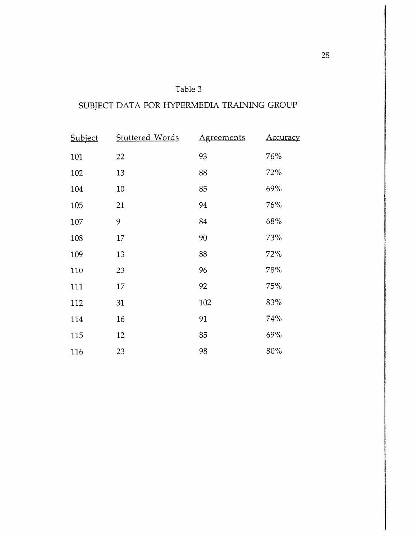### Table 3

### SUBJECT DATA FOR HYPERMEDIA TRAINING GROUP

| Subject | <b>Stuttered Words</b> | <b>Agreements</b> | <b>Accuracy</b> |
|---------|------------------------|-------------------|-----------------|
| 101     | 22                     | 93                | 76%             |
| 102     | 13                     | 88                | 72%             |
| 104     | $10\,$                 | 85                | 69%             |
| 105     | 21                     | 94                | 76%             |
| 107     | 9                      | 84                | 68%             |
| 108     | 17                     | 90                | 73%             |
| 109     | 13                     | 88                | 72%             |
| 110     | 23                     | 96                | 78%             |
| 111     | 17                     | 92                | 75%             |
| 112     | 31                     | 102               | 83%             |
| 114     | 16                     | 91                | 74%             |
| 115     | 12                     | 85                | 69%             |
| 116     | 23                     | 98                | 80%             |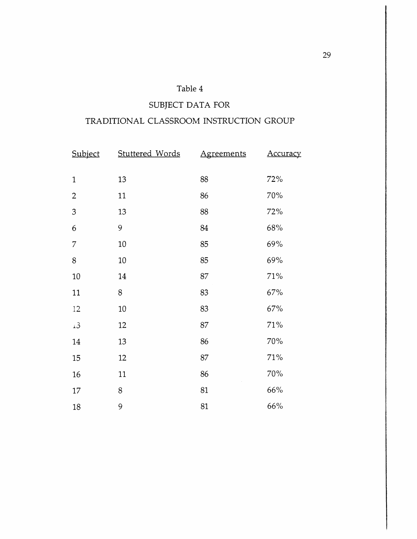### Table 4

### SUBJECT DATA FOR

### TRADITIONAL CLASSROOM INSTRUCTION GROUP

| Subject        | Stuttered Words | <b>Agreements</b> | <u>Accuracy</u> |
|----------------|-----------------|-------------------|-----------------|
| $\mathbf{1}$   | 13              | 88                | 72%             |
| $\overline{2}$ | 11              | 86                | 70%             |
| $\mathfrak{Z}$ | 13              | 88                | 72%             |
| 6              | 9               | 84                | 68%             |
| $\overline{7}$ | 10              | 85                | 69%             |
| 8              | $10\,$          | 85                | 69%             |
| 10             | 14              | 87                | 71%             |
| $11\,$         | $8\,$           | 83                | 67%             |
| $12\,$         | $10\,$          | 83                | 67%             |
| $\pm 3$        | 12              | 87                | 71%             |
| 14             | 13              | 86                | 70%             |
| 15             | 12              | 87                | $71\%$          |
| 16             | 11              | 86                | 70%             |
| $17\,$         | 8               | 81                | 66%             |
| 18             | 9               | 81                | 66%             |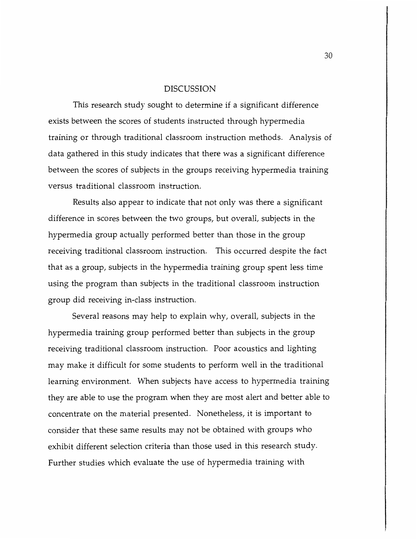#### DISCUSSION

This research study sought to determine if a significant difference exists between the scores of students instructed through hypermedia training or through traditional classroom instruction methods. Analysis of data gathered in this study indicates that there was a significant difference between the scores of subjects in the groups receiving hypermedia training versus traditional classroom instruction.

Results also appear to indicate that not only was there a significant difference in scores between the two groups, but overall, subjects in the hypermedia group actually performed better than those in the group receiving traditional classroom instruction. This occurred despite the fact that as a group, subjects in the hypermedia training group spent less time using the program than subjects in the traditional classroom instruction group did receiving in-class instruction.

Several reasons may help to explain why, overall, subjects in the hypermedia training group performed better than subjects in the group receiving traditional classroom instruction. Poor acoustics and lighting may make it difficult for some students to perform well in the traditional learning environment. When subjects have access to hypermedia training they are able to use the program when they are most alert and better able to concentrate on the material presented. Nonetheless, it is important to consider that these same results may not be obtained with groups who exhibit different selection criteria than those used in this research study. Further studies which evaluate the use of hypermedia training with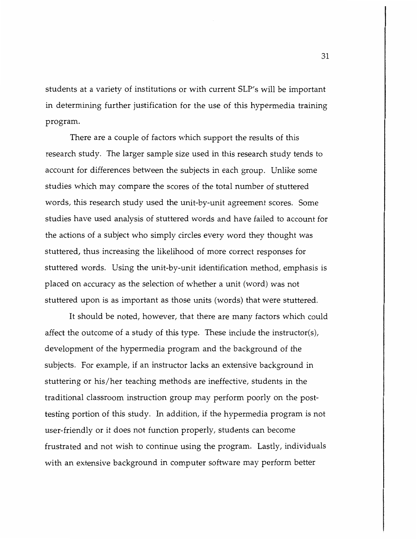students at a variety of institutions or with current SLP's will be important in determining further justification for the use of this hypermedia training program.

There are a couple of factors which support the results of this research study. The larger sample size used in this research study tends to account for differences between the subjects in each group. Unlike some studies which may compare the scores of the total number of stuttered words, this research study used the unit-by-unit agreement scores. Some studies have used analysis of stuttered words and have failed to account for the actions of a subject who simply circles every word they thought was stuttered, thus increasing the likelihood of more correct responses for stuttered words. Using the unit-by-unit identification method, emphasis is placed on accuracy as the selection of whether a unit (word) was not stuttered upon is as important as those units (words) that were stuttered.

It should be noted, however, that there are many factors which could affect the outcome of a study of this type. These include the instructor(s), development of the hypermedia program and the background of the subjects. For example, if an instructor lacks an extensive background in stuttering or his/her teaching methods are ineffective, students in the traditional classroom instruction group may perform poorly on the posttesting portion of this study. In addition, if the hypermedia program is not user-friendly or it does not function properly, students can become frustrated and not wish to continue using the program. Lastly, individuals with an extensive background in computer software may perform better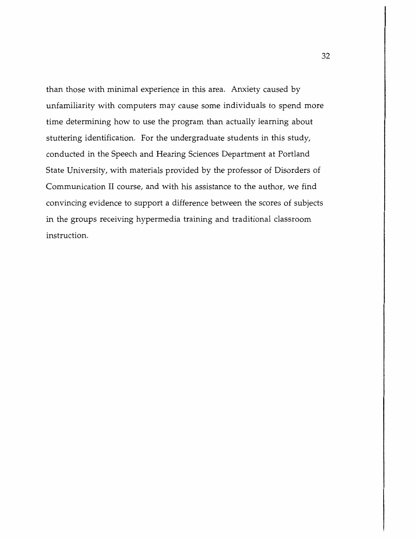than those with minimal experience in this area. Anxiety caused by unfamiliarity with computers may cause some individuals to spend more time determining how to use the program than actually learning about stuttering identification. For the undergraduate students in this study, conducted in the Speech and Hearing Sciences Department at Portland State University, with materials provided by the professor of Disorders of Communication II course, and with his assistance to the author, we find convincing evidence to support a difference between the scores of subjects in the groups receiving hypermedia training and traditional classroom instruction.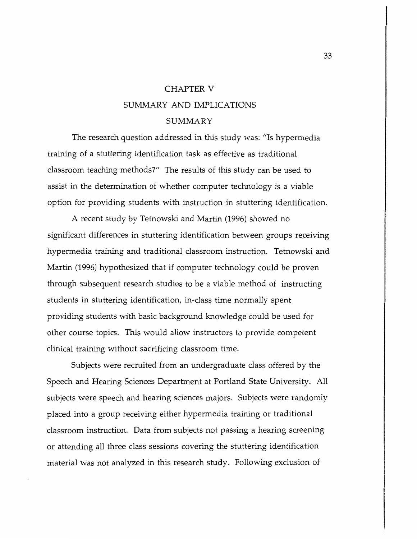## CHAPTER V SUMMARY AND IMPLICATIONS SUMMARY

The research question addressed in this study was: "Is hypermedia training of a stuttering identification task as effective as traditional classroom teaching methods?" The results of this study can be used to assist in the determination of whether computer technology is a viable option for providing students with instruction in stuttering identification.

A recent study by Tetnowski and Martin (1996) showed no significant differences in stuttering identification between groups receiving hypermedia training and traditional classroom instruction. Tetnowski and Martin (1996) hypothesized that if computer technology could be proven through subsequent research studies to be a viable method of instructing students in stuttering identification, in-class time normally spent providing students with basic background knowledge could be used for other course topics. This would allow instructors to provide competent clinical training without sacrificing classroom time.

Subjects were recruited from an undergraduate class offered by the Speech and Hearing Sciences Department at Portland State University. All subjects were speech and hearing sciences majors. Subjects were randomly placed into a group receiving either hypermedia training or traditional classroom instruction. Data from subjects not passing a hearing screening or attending all three class sessions covering the stuttering identification material was not analyzed in this research study. Following exclusion of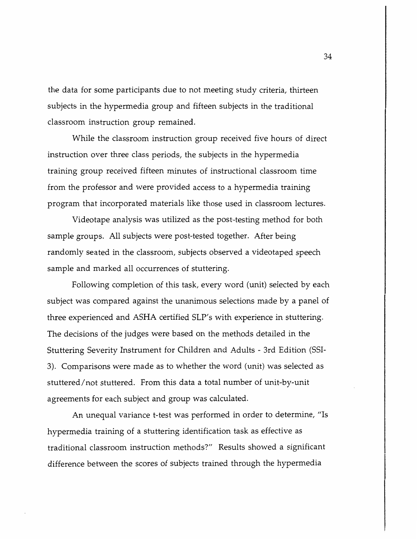the data for some participants due to not meeting study criteria, thirteen subjects in the hypermedia group and fifteen subjects in the traditional classroom instruction group remained.

While the classroom instruction group received five hours of direct instruction over three class periods, the subjects in the hypermedia training group received fifteen minutes of instructional classroom time from the professor and were provided access to a hypermedia training program that incorporated materials like those used in classroom lectures.

Videotape analysis was utilized as the post-testing method for both sample groups. All subjects were post-tested together. After being randomly seated in the classroom, subjects observed a videotaped speech sample and marked all occurrences of stuttering.

Following completion of this task, every word (unit) selected by each subject was compared against the unanimous selections made by a panel of three experienced and ASHA certified SLP's with experience in stuttering. The decisions of the judges were based on the methods detailed in the Stuttering Severity Instrument for Children and Adults - 3rd Edition (SSI-3). Comparisons were made as to whether the word (unit) was selected as stuttered/ not stuttered. From this data a total number of unit-by-unit agreements for each subject and group was calculated.

An unequal variance t-test was performed in order to determine, "Is hypermedia training of a stuttering identification task as effective as traditional classroom instruction methods?" Results showed a significant difference between the scores of subjects trained through the hypermedia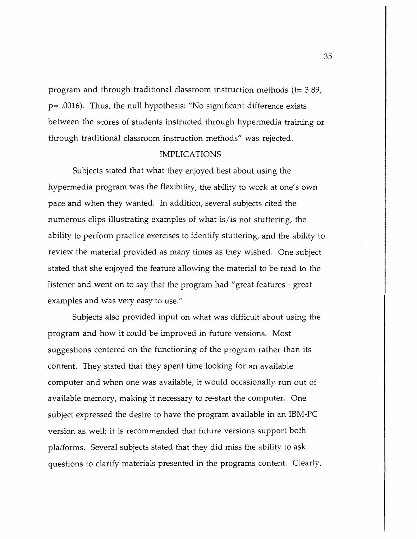program and through traditional classroom instruction methods (t= 3.89, p= .0016). Thus, the null hypothesis: "No significant difference exists between the scores of students instructed through hypermedia training or through traditional classroom instruction methods" was rejected.

### IMPLICATIONS

Subjects stated that what they enjoyed best about using the hypermedia program was the flexibility, the ability to work at one's own pace and when they wanted. In addition, several subjects cited the numerous clips illustrating examples of what is/is not stuttering, the ability to perform practice exercises to identify stuttering, and the ability to review the material provided as many times as they wished. One subject stated that she enjoyed the feature allowing the material to be read to the listener and went on to say that the program had "great features - grea<sup>t</sup> examples and was very easy to use."

Subjects also provided input on what was difficult about using the program and how it could be improved in future versions. Most suggestions centered on the functioning of the program rather than its content. They stated that they spent time looking for an available computer and when one was available, it would occasionally run out of available memory, making it necessary to re-start the computer. One subject expressed the desire to have the program available in an IBM-PC version as well; it is recommended that future versions support both platforms. Several subjects stated that they did miss the ability to ask questions to clarify materials presented in the programs content. Clearly,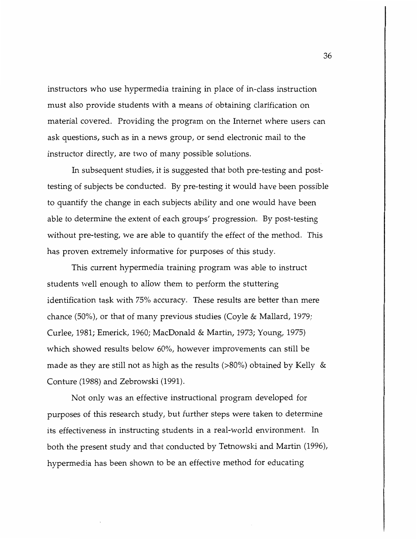instructors who use hypermedia training in place of in-class instruction must also provide students with a means of obtaining clarification on material covered. Providing the program on the Internet where users can ask questions, such as in a news group, or send electronic mail to the instructor directly, are two of many possible solutions.

In subsequent studies, it is suggested that both pre-testing and posttesting of subjects be conducted. By pre-testing it would have been possible to quantify the change in each subjects ability and one would have been able to determine the extent of each groups' progression. By post-testing without pre-testing, we are able to quantify the effect of the method. This has proven extremely informative for purposes of this study.

This current hypermedia training program was able to instruct students well enough to allow them *to* perform the stuttering identification task with 75% accuracy. These results are better than mere chance (50%), or that of many previous studies (Coyle & Mallard, 1979; Curlee, 1981; Emerick, 1960; MacDonald & Martin, 1973; Young, 1975) which showed results below 60%, however improvements can still be made as they are still not as high as the results (>80%) obtained by Kelly & Conture (1988) and Zebrowski (1991).

Not only was an effective instructional program developed for purposes of this research study, but further steps were taken to determine its effectiveness in instructing students in a real-world environment. In both the present study and that conducted by Tetnowski and Martin (1996), hypermedia has been shown *to* be an effective method for educating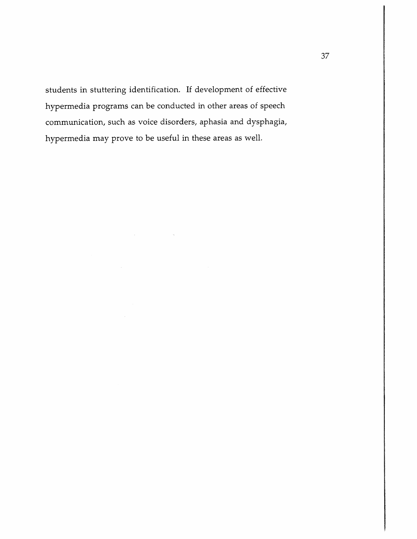students in stuttering identification. If development of effective hypermedia programs can be conducted in other areas of speech communication, such as voice disorders, aphasia and dysphagia, hypermedia may prove to be useful in these areas as well.

 $\label{eq:1} \mathcal{L}(\mathbf{x}) = \mathcal{L}(\mathbf{x}) \mathcal{L}(\mathbf{x}) = \mathcal{L}(\mathbf{x}) \mathcal{L}(\mathbf{x})$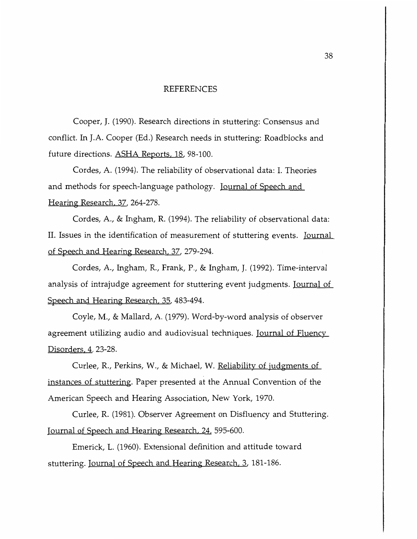#### REFERENCES

Cooper, J. (1990). Research directions in stuttering: Consensus and conflict. In J.A. Cooper (Ed.) Research needs in stuttering: Roadblocks and future directions. <u>ASHA Reports, 18</u>, 98-100.

Cordes, A. (1994). The reliability of observational data: I. Theories and methods for speech-language pathology. <u>Journal of Speech and </u> Hearing Research. 37, 264-278.

Cordes, A., & Ingham, R. (1994). The reliability of observational data: II. Issues in the identification of measurement of stuttering events. <u>Journal </u> of Speech and Hearing Research, 37, 279-294.

Cordes, A., Ingham, R., Frank, P., & Ingham, J. (1992). Time-interval analysis of intrajudge agreement for stuttering event judgments. <u>Journal of</u> Speech and Hearing Research. 35, 483-494.

Coyle, M., & Mallard, A. (1979). Word-by-word analysis of observer agreement utilizing audio and audiovisual techniques. <u>Journal of Fluency </u> Disorders. 4, 23-28.

Curlee, R., Perkins, W., & Michael, W. Reliability of judgments of instances of stuttering. Paper presented at the Annual Convention of the American Speech and Hearing Association, New York, 1970.

Curlee, R. (1981). Observer Agreement on Disfluency and Stuttering. Journal of Speech and Hearing Research. 24. 595-600.

Emerick, L. (1960). Extensional definition and attitude toward stuttering. Journal of Speech and Hearing Research. 3, 181-186.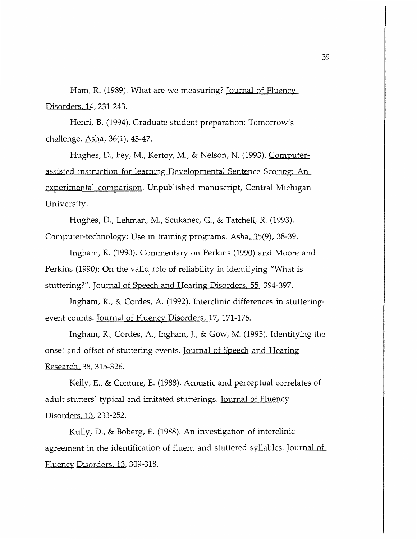Ham, R. (1989). What are we measuring? <u>Journal of Fluency</u> Disorders, 14, 231-243.

Henri, B. (1994). Graduate student preparation: Tomorrow's challenge. Asha, 36(1), 43-47.

Hughes, D., Fey, M., Kertoy, M., & Nelson, N. (1993). <u>Computer-</u> assisted instruction for learning Developmental Sentence Scoring: An experimental comparison. Unpublished manuscript, Central Michigan University.

Hughes, D., Lehman, M., Scukanec, G., & Tatchell, R. (1993). Computer-technology: Use in training programs. Asha, 35(9), 38-39.

Ingham, R. (1990). Commentary on Perkins (1990) and Moore and Perkins (1990): On the valid role of reliability in identifying "What is stuttering?". Journal of Speech and Hearing Disorders, 55, 394-397.

Ingham, R., & Cordes, A. (1992). Interclinic differences in stutteringevent counts. Journal of Fluency Disorders, 17, 171-176.

Ingham, R., Cordes, A., Ingham, J., & Gow, M. (1995). Identifying the onset and offset of stuttering events. <u>Journal of Speech and Hearing</u> Research, 38, 315-326.

Kelly, E., & Conture, E. (1988). Acoustic and perceptual correlates of adult stutters' typical and imitated stutterings. Journal of Fluency Disorders, 13, 233-252.

Kully, D., & Boberg, E. (1988). An investigation of interclinic agreement in the identification of fluent and stuttered syllables. Journal of Fluency Disorders, 13, 309-318.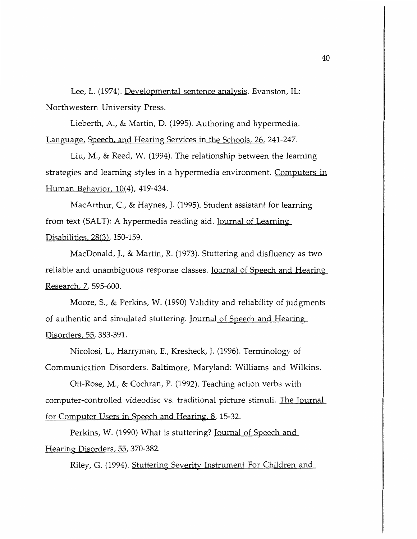Lee, L. (1974). Developmental sentence analysis. Evanston, IL: Northwestern University Press.

Lieberth, A., & Martin, D. (1995). Authoring and hypermedia. Language, Speech, and Hearing Services in the Schools. 26. 241-247.

Liu, M., & Reed, W. (1994). The relationship between the learning strategies and learning styles in a hypermedia environment. Computers in Human Behavior. 10(4), 419-434.

MacArthur, C., & Haynes, J. (1995). Student assistant for learning from text (SALT): A hypermedia reading aid. Journal of Learning Disabilities. 28(3), 150-159.

MacDonald, J., & Martin, R. (1973). Stuttering and disfluency as two reliable and unambiguous response classes. Journal of Speech and Hearing Research. 7, 595-600.

Moore, S., & Perkins, W. (1990) Validity and reliability of judgments of authentic and simulated stuttering. <u>Journal of Speech and Hearing</u> Disorders, 55, 383-391.

Nicolosi, L., Harryman, E., Kresheck, J. (1996). Terminology of Communication Disorders. Baltimore, Maryland: Williams and Wilkins.

Ott-Rose, M., & Cochran, P. (1992). Teaching action verbs with computer-controlled videodisc vs. traditional picture stimuli. The Journal for Computer Users in Speech and Hearing. 8, 15-32.

Perkins, W. (1990) What is stuttering? <u>Journal of Speech and</u> Hearing Disorders. 55, 370-382.

Riley, G. (1994). Stuttering Severity Instrument For Children and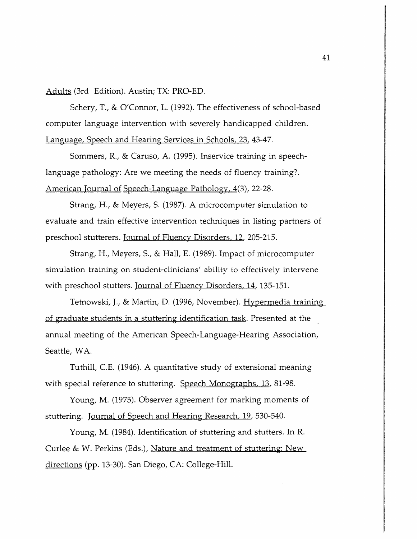Adults (3rd Edition). Austin; TX: PRO-ED.

Schery, T., & O'Connor, L. (1992). The effectiveness of school-based computer language intervention with severely handicapped children. Language, Speech and Hearing Services in Schools, 23, 43-47.

Sommers, R., & Caruso, A. (1995). Inservice training in speechlanguage pathology: Are we meeting the needs of fluency training?. American Journal of Speech-Language Pathology, 4(3), 22-28.

Strang, H., & Meyers, S. (1987). A microcomputer simulation to evaluate and train effective intervention techniques in listing partners of preschool stutterers. Journal of Fluency Disorders, 12, 205-215.

Strang, H., Meyers, S., & Hall, E. (1989). Impact of microcomputer simulation training on student-clinicians' ability to effectively intervene with preschool stutters. Journal of Fluency Disorders, 14, 135-151.

Tetnowski, J., & Martin, D. (1996, November). Hypermedia training of graduate students in a stuttering identification task. Presented at the annual meeting of the American Speech-Language-Hearing Association, Seattle, WA.

Tuthill, C.E. (1946). A quantitative study of extensional meaning with special reference to stuttering. Speech Monographs, 13, 81-98.

Young, M. (1975). Observer agreement for marking moments of stuttering. Journal of Speech and Hearing Research, 19, 530-540.

Young, M. (1984). Identification of stuttering and stutters. In R. Curlee & W. Perkins (Eds.), Nature and treatment of stuttering: New directions (pp. 13-30). San Diego, CA: College-Hill.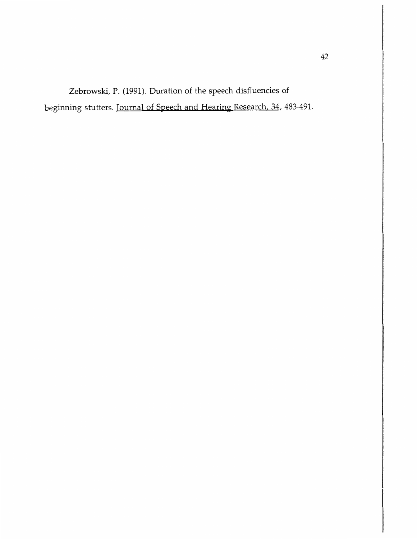Zebrowski, P. (1991). Duration of the speech disfluencies of beginning stutters. Journal of Speech and Hearing Research, 34, 483-491.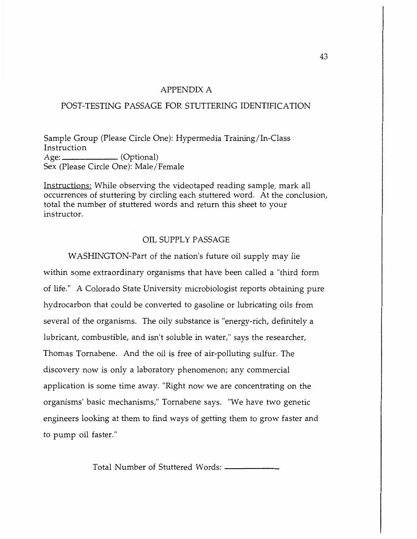### APPENDIX A

### POST-TESTING PASSAGE FOR STUTTERING IDENTIFICATION

Sample Group (Please Circle One): Hypermedia Training/In-Class Instruction Age: \_\_\_\_\_\_\_\_\_\_\_\_\_\_\_ (Optional) Sex (Please Circle One): Male/Female

Instructions: While observing the videotaped reading sample, mark all occurrences of stuttering by circling each stuttered word. At the conclusion, total the number of stuttered words and return this sheet to your instructor.

### OIL SUPPLY PASSAGE

WASHINGTON-Part of the nation's future oil supply may lie within some extraordinary organisms that have been called a "third form of life." A Colorado State University microbiologist reports obtaining pure hydrocarbon that could be converted to gasoline or lubricating oils from several of the organisms. The oily substance is "energy-rich, definitely a lubricant, combustible, and isn't soluble in water," says the researcher, Thomas Tornabene. And the oil is free of air-polluting sulfur. The discovery now is only a laboratory phenomenon; any commercial application is some time away. "Right now we are concentrating on the organisms' basic mechanisms," Tornabene says. "We have two genetic engineers looking at them to find ways of getting them to grow faster and to pump oil faster."